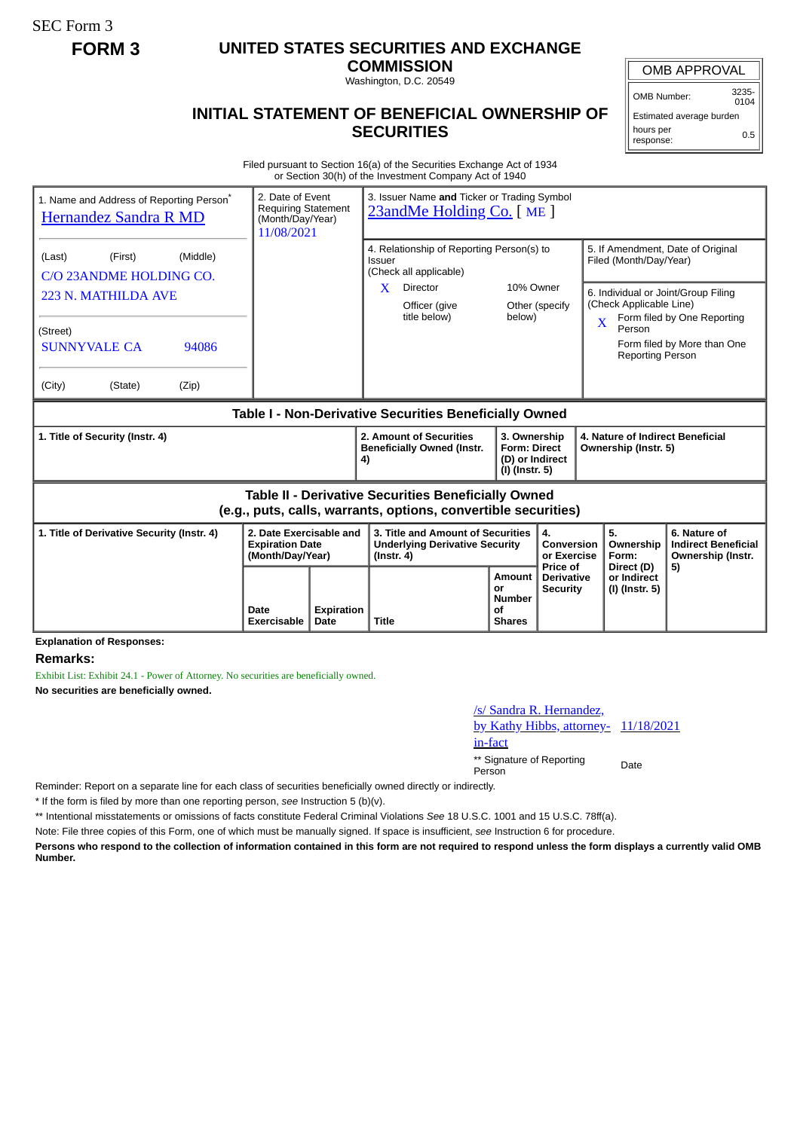SEC Form 3

## **FORM 3 UNITED STATES SECURITIES AND EXCHANGE**

**COMMISSION** Washington, D.C. 20549

## OMB APPROVAL

OMB Number: 3235-  $0104$ 

Estimated average burden hours per response: 0.5

## **INITIAL STATEMENT OF BENEFICIAL OWNERSHIP OF SECURITIES**

Filed pursuant to Section 16(a) of the Securities Exchange Act of 1934 or Section 30(h) of the Investment Company Act of 1940

| 1. Name and Address of Reporting Person <sup>®</sup><br>Hernandez Sandra R MD                                         |                     | 3. Issuer Name and Ticker or Trading Symbol<br>2. Date of Event<br><b>Requiring Statement</b><br>23andMe Holding Co. [ME]<br>(Month/Day/Year)<br>11/08/2021 |                                                                                                |                                                      |                                                                                                                                      |                                                                                                                          |                                                                 |
|-----------------------------------------------------------------------------------------------------------------------|---------------------|-------------------------------------------------------------------------------------------------------------------------------------------------------------|------------------------------------------------------------------------------------------------|------------------------------------------------------|--------------------------------------------------------------------------------------------------------------------------------------|--------------------------------------------------------------------------------------------------------------------------|-----------------------------------------------------------------|
| (Middle)<br>(Last)<br>(First)<br>C/O 23ANDME HOLDING CO.                                                              |                     |                                                                                                                                                             | 4. Relationship of Reporting Person(s) to<br>Issuer<br>(Check all applicable)                  |                                                      |                                                                                                                                      | 5. If Amendment, Date of Original<br>Filed (Month/Day/Year)                                                              |                                                                 |
| 223 N. MATHILDA AVE                                                                                                   |                     |                                                                                                                                                             | X<br><b>Director</b><br>Officer (give<br>title below)                                          | 10% Owner<br>Other (specify<br>below)                |                                                                                                                                      | 6. Individual or Joint/Group Filing<br>(Check Applicable Line)<br>Form filed by One Reporting<br>$\overline{\mathbf{X}}$ |                                                                 |
| (Street)<br><b>SUNNYVALE CA</b><br>94086<br>(City)<br>(State)<br>(Zip)                                                |                     |                                                                                                                                                             |                                                                                                |                                                      |                                                                                                                                      | Person<br>Form filed by More than One<br><b>Reporting Person</b>                                                         |                                                                 |
| Table I - Non-Derivative Securities Beneficially Owned                                                                |                     |                                                                                                                                                             |                                                                                                |                                                      |                                                                                                                                      |                                                                                                                          |                                                                 |
| 1. Title of Security (Instr. 4)                                                                                       |                     |                                                                                                                                                             | 2. Amount of Securities<br><b>Beneficially Owned (Instr.</b><br>4)                             |                                                      | 3. Ownership<br>4. Nature of Indirect Beneficial<br><b>Form: Direct</b><br>Ownership (Instr. 5)<br>(D) or Indirect<br>(I) (Instr. 5) |                                                                                                                          |                                                                 |
| Table II - Derivative Securities Beneficially Owned<br>(e.g., puts, calls, warrants, options, convertible securities) |                     |                                                                                                                                                             |                                                                                                |                                                      |                                                                                                                                      |                                                                                                                          |                                                                 |
| 2. Date Exercisable and<br>1. Title of Derivative Security (Instr. 4)<br><b>Expiration Date</b><br>(Month/Day/Year)   |                     |                                                                                                                                                             | 3. Title and Amount of Securities<br><b>Underlying Derivative Security</b><br>$($ lnstr. 4 $)$ |                                                      | 4.<br>Conversion<br>or Exercise<br>Price of                                                                                          | 5.<br>Ownership<br>Form:                                                                                                 | 6. Nature of<br><b>Indirect Beneficial</b><br>Ownership (Instr. |
|                                                                                                                       | Date<br>Exercisable | <b>Expiration</b><br>Date                                                                                                                                   | <b>Title</b>                                                                                   | Amount<br>or<br><b>Number</b><br>οf<br><b>Shares</b> | <b>Derivative</b><br><b>Security</b>                                                                                                 | Direct (D)<br>or Indirect<br>(I) (Instr. 5)                                                                              | 5)                                                              |

**Explanation of Responses:**

**Remarks:**

Exhibit List: Exhibit 24.1 - Power of Attorney. No securities are beneficially owned.

**No securities are beneficially owned.**

## /s/ Sandra R. Hernandez, by Kathy Hibbs, attorney- 11/18/2021 in-fact

\*\* Signature of Reporting Person Date

Reminder: Report on a separate line for each class of securities beneficially owned directly or indirectly.

\* If the form is filed by more than one reporting person, *see* Instruction 5 (b)(v).

\*\* Intentional misstatements or omissions of facts constitute Federal Criminal Violations *See* 18 U.S.C. 1001 and 15 U.S.C. 78ff(a).

Note: File three copies of this Form, one of which must be manually signed. If space is insufficient, *see* Instruction 6 for procedure.

**Persons who respond to the collection of information contained in this form are not required to respond unless the form displays a currently valid OMB Number.**